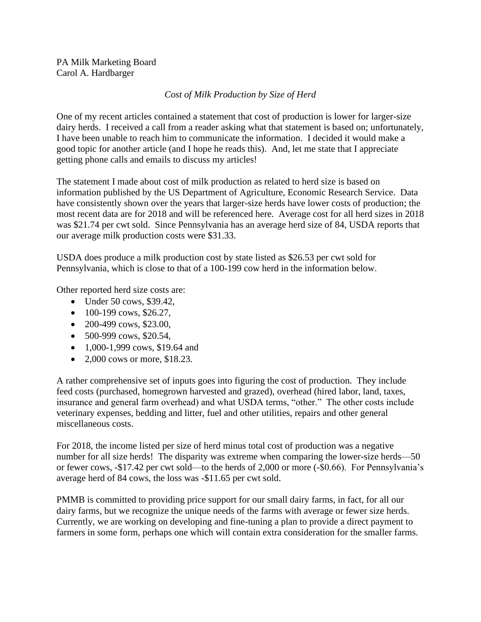PA Milk Marketing Board Carol A. Hardbarger

## *Cost of Milk Production by Size of Herd*

One of my recent articles contained a statement that cost of production is lower for larger-size dairy herds. I received a call from a reader asking what that statement is based on; unfortunately, I have been unable to reach him to communicate the information. I decided it would make a good topic for another article (and I hope he reads this). And, let me state that I appreciate getting phone calls and emails to discuss my articles!

The statement I made about cost of milk production as related to herd size is based on information published by the US Department of Agriculture, Economic Research Service. Data have consistently shown over the years that larger-size herds have lower costs of production; the most recent data are for 2018 and will be referenced here. Average cost for all herd sizes in 2018 was \$21.74 per cwt sold. Since Pennsylvania has an average herd size of 84, USDA reports that our average milk production costs were \$31.33.

USDA does produce a milk production cost by state listed as \$26.53 per cwt sold for Pennsylvania, which is close to that of a 100-199 cow herd in the information below.

Other reported herd size costs are:

- Under 50 cows, \$39.42,
- $100-199$  cows, \$26.27,
- 200-499 cows, \$23.00,
- 500-999 cows, \$20.54,
- 1,000-1,999 cows, \$19.64 and
- 2,000 cows or more, \$18.23.

A rather comprehensive set of inputs goes into figuring the cost of production. They include feed costs (purchased, homegrown harvested and grazed), overhead (hired labor, land, taxes, insurance and general farm overhead) and what USDA terms, "other." The other costs include veterinary expenses, bedding and litter, fuel and other utilities, repairs and other general miscellaneous costs.

For 2018, the income listed per size of herd minus total cost of production was a negative number for all size herds! The disparity was extreme when comparing the lower-size herds—50 or fewer cows, -\$17.42 per cwt sold—to the herds of 2,000 or more (-\$0.66). For Pennsylvania's average herd of 84 cows, the loss was -\$11.65 per cwt sold.

PMMB is committed to providing price support for our small dairy farms, in fact, for all our dairy farms, but we recognize the unique needs of the farms with average or fewer size herds. Currently, we are working on developing and fine-tuning a plan to provide a direct payment to farmers in some form, perhaps one which will contain extra consideration for the smaller farms.